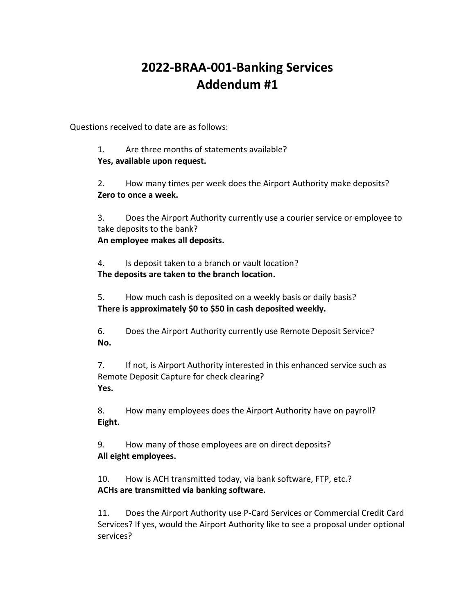## **2022-BRAA-001-Banking Services Addendum #1**

Questions received to date are as follows:

1. Are three months of statements available? **Yes, available upon request.**

2. How many times per week does the Airport Authority make deposits? **Zero to once a week.** 

3. Does the Airport Authority currently use a courier service or employee to take deposits to the bank?

**An employee makes all deposits.** 

4. Is deposit taken to a branch or vault location? **The deposits are taken to the branch location.** 

5. How much cash is deposited on a weekly basis or daily basis? **There is approximately \$0 to \$50 in cash deposited weekly.** 

6. Does the Airport Authority currently use Remote Deposit Service? **No.**

7. If not, is Airport Authority interested in this enhanced service such as Remote Deposit Capture for check clearing? **Yes.**

8. How many employees does the Airport Authority have on payroll? **Eight.**

9. How many of those employees are on direct deposits? **All eight employees.** 

10. How is ACH transmitted today, via bank software, FTP, etc.? **ACHs are transmitted via banking software.** 

11. Does the Airport Authority use P-Card Services or Commercial Credit Card Services? If yes, would the Airport Authority like to see a proposal under optional services?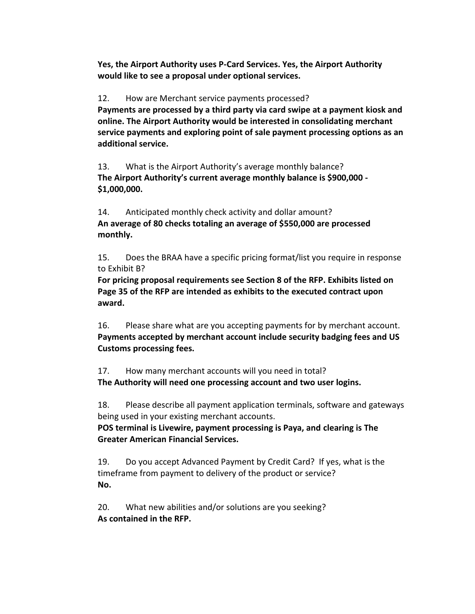**Yes, the Airport Authority uses P-Card Services. Yes, the Airport Authority would like to see a proposal under optional services.**

12. How are Merchant service payments processed?

**Payments are processed by a third party via card swipe at a payment kiosk and online. The Airport Authority would be interested in consolidating merchant service payments and exploring point of sale payment processing options as an additional service.** 

13. What is the Airport Authority's average monthly balance? **The Airport Authority's current average monthly balance is \$900,000 - \$1,000,000.** 

14. Anticipated monthly check activity and dollar amount? **An average of 80 checks totaling an average of \$550,000 are processed monthly.**

15. Does the BRAA have a specific pricing format/list you require in response to Exhibit B?

**For pricing proposal requirements see Section 8 of the RFP. Exhibits listed on Page 35 of the RFP are intended as exhibits to the executed contract upon award.**

16. Please share what are you accepting payments for by merchant account. **Payments accepted by merchant account include security badging fees and US Customs processing fees.**

17. How many merchant accounts will you need in total? **The Authority will need one processing account and two user logins.**

18. Please describe all payment application terminals, software and gateways being used in your existing merchant accounts.

**POS terminal is Livewire, payment processing is Paya, and clearing is The Greater American Financial Services.**

19. Do you accept Advanced Payment by Credit Card? If yes, what is the timeframe from payment to delivery of the product or service? **No.**

20. What new abilities and/or solutions are you seeking? **As contained in the RFP.**